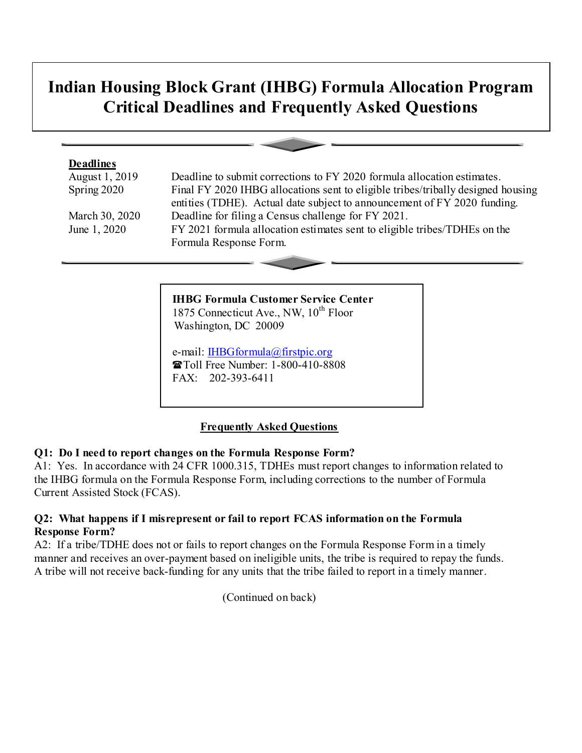# **Indian Housing Block Grant (IHBG) Formula Allocation Program Critical Deadlines and Frequently Asked Questions**

#### **Deadlines**

August 1, 2019 Deadline to submit corrections to FY 2020 formula allocation estimates. Spring 2020 Final FY 2020 IHBG allocations sent to eligible tribes/tribally designed housing entities (TDHE). Actual date subject to announcement of FY 2020 funding. March 30, 2020 Deadline for filing a Census challenge for FY 2021. June 1, 2020 FY 2021 formula allocation estimates sent to eligible tribes/TDHEs on the Formula Response Form.

> **IHBG Formula Customer Service Center** 1875 Connecticut Ave., NW, 10<sup>th</sup> Floor Washington, DC 20009

 e-mail: [IHBGformula@firstpic.org](mailto:IHBGformula@firstpic.org) Toll Free Number: 1-800-410-8808 FAX: 202-393-6411

### **Frequently Asked Questions**

#### **Q1: Do I need to report changes on the Formula Response Form?**

A1: Yes. In accordance with 24 CFR 1000.315, TDHEs must report changes to information related to the IHBG formula on the Formula Response Form, including corrections to the number of Formula Current Assisted Stock (FCAS).

#### **Q2: What happens if I misrepresent or fail to report FCAS information on the Formula Response Form?**

A2: If a tribe/TDHE does not or fails to report changes on the Formula Response Form in a timely manner and receives an over-payment based on ineligible units, the tribe is required to repay the funds. A tribe will not receive back-funding for any units that the tribe failed to report in a timely manner.

(Continued on back)